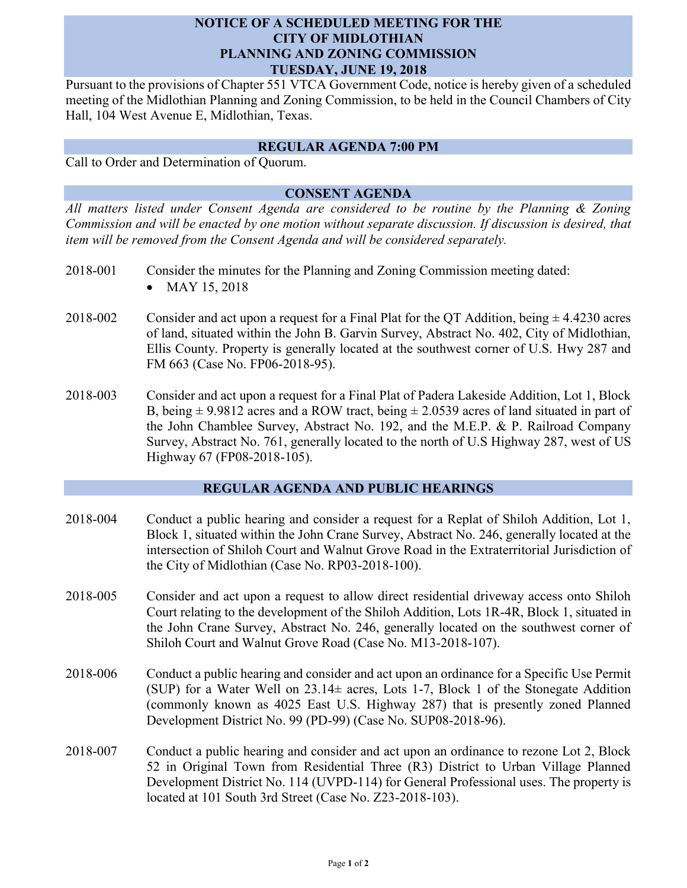### **NOTICE OF A SCHEDULED MEETING FOR THE CITY OF MIDLOTHIAN PLANNING AND ZONING COMMISSION TUESDAY, JUNE 19, 2018**

Pursuant to the provisions of Chapter 551 VTCA Government Code, notice is hereby given of a scheduled meeting of the Midlothian Planning and Zoning Commission, to be held in the Council Chambers of City Hall, 104 West Avenue E, Midlothian, Texas.

#### **REGULAR AGENDA 7:00 PM**

Call to Order and Determination of Quorum.

# **CONSENT AGENDA**

*All matters listed under Consent Agenda are considered to be routine by the Planning & Zoning Commission and will be enacted by one motion without separate discussion. If discussion is desired, that item will be removed from the Consent Agenda and will be considered separately.*

- 2018-001 Consider the minutes for the Planning and Zoning Commission meeting dated: MAY 15, 2018
- 2018-002 Consider and act upon a request for a Final Plat for the QT Addition, being  $\pm$  4.4230 acres of land, situated within the John B. Garvin Survey, Abstract No. 402, City of Midlothian, Ellis County. Property is generally located at the southwest corner of U.S. Hwy 287 and FM 663 (Case No. FP06-2018-95).
- 2018-003 Consider and act upon a request for a Final Plat of Padera Lakeside Addition, Lot 1, Block B, being  $\pm$  9.9812 acres and a ROW tract, being  $\pm$  2.0539 acres of land situated in part of the John Chamblee Survey, Abstract No. 192, and the M.E.P. & P. Railroad Company Survey, Abstract No. 761, generally located to the north of U.S Highway 287, west of US Highway 67 (FP08-2018-105).

## **REGULAR AGENDA AND PUBLIC HEARINGS**

- 2018-004 Conduct a public hearing and consider a request for a Replat of Shiloh Addition, Lot 1, Block 1, situated within the John Crane Survey, Abstract No. 246, generally located at the intersection of Shiloh Court and Walnut Grove Road in the Extraterritorial Jurisdiction of the City of Midlothian (Case No. RP03-2018-100).
- 2018-005 Consider and act upon a request to allow direct residential driveway access onto Shiloh Court relating to the development of the Shiloh Addition, Lots 1R-4R, Block 1, situated in the John Crane Survey, Abstract No. 246, generally located on the southwest corner of Shiloh Court and Walnut Grove Road (Case No. M13-2018-107).
- 2018-006 Conduct a public hearing and consider and act upon an ordinance for a Specific Use Permit (SUP) for a Water Well on  $23.14\pm$  acres, Lots 1-7, Block 1 of the Stonegate Addition (commonly known as 4025 East U.S. Highway 287) that is presently zoned Planned Development District No. 99 (PD-99) (Case No. SUP08-2018-96).
- 2018-007 Conduct a public hearing and consider and act upon an ordinance to rezone Lot 2, Block 52 in Original Town from Residential Three (R3) District to Urban Village Planned Development District No. 114 (UVPD-114) for General Professional uses. The property is located at 101 South 3rd Street (Case No. Z23-2018-103).